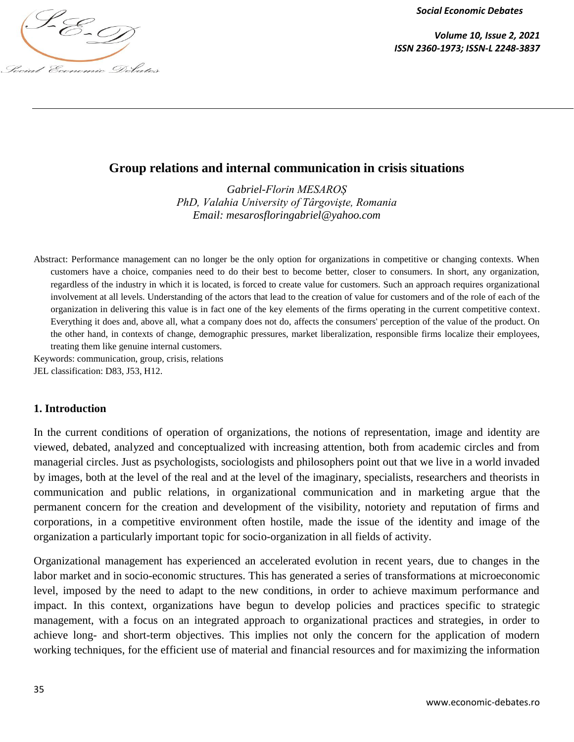

*Volume 10, Issue 2, 2021 ISSN 2360-1973; ISSN-L 2248-3837*

# **Group relations and internal communication in crisis situations**

*Gabriel-Florin MESAROȘ PhD, Valahia University of Târgovişte, Romania Email: [mesarosfloringabriel@yahoo.com](mailto:mesarosfloringabriel@yahoo.com)*

Abstract: Performance management can no longer be the only option for organizations in competitive or changing contexts. When customers have a choice, companies need to do their best to become better, closer to consumers. In short, any organization, regardless of the industry in which it is located, is forced to create value for customers. Such an approach requires organizational involvement at all levels. Understanding of the actors that lead to the creation of value for customers and of the role of each of the organization in delivering this value is in fact one of the key elements of the firms operating in the current competitive context. Everything it does and, above all, what a company does not do, affects the consumers' perception of the value of the product. On the other hand, in contexts of change, demographic pressures, market liberalization, responsible firms localize their employees, treating them like genuine internal customers.

Keywords: communication, group, crisis, relations JEL classification: D83, J53, H12.

#### **1. Introduction**

In the current conditions of operation of organizations, the notions of representation, image and identity are viewed, debated, analyzed and conceptualized with increasing attention, both from academic circles and from managerial circles. Just as psychologists, sociologists and philosophers point out that we live in a world invaded by images, both at the level of the real and at the level of the imaginary, specialists, researchers and theorists in communication and public relations, in organizational communication and in marketing argue that the permanent concern for the creation and development of the visibility, notoriety and reputation of firms and corporations, in a competitive environment often hostile, made the issue of the identity and image of the organization a particularly important topic for socio-organization in all fields of activity.

Organizational management has experienced an accelerated evolution in recent years, due to changes in the labor market and in socio-economic structures. This has generated a series of transformations at microeconomic level, imposed by the need to adapt to the new conditions, in order to achieve maximum performance and impact. In this context, organizations have begun to develop policies and practices specific to strategic management, with a focus on an integrated approach to organizational practices and strategies, in order to achieve long- and short-term objectives. This implies not only the concern for the application of modern working techniques, for the efficient use of material and financial resources and for maximizing the information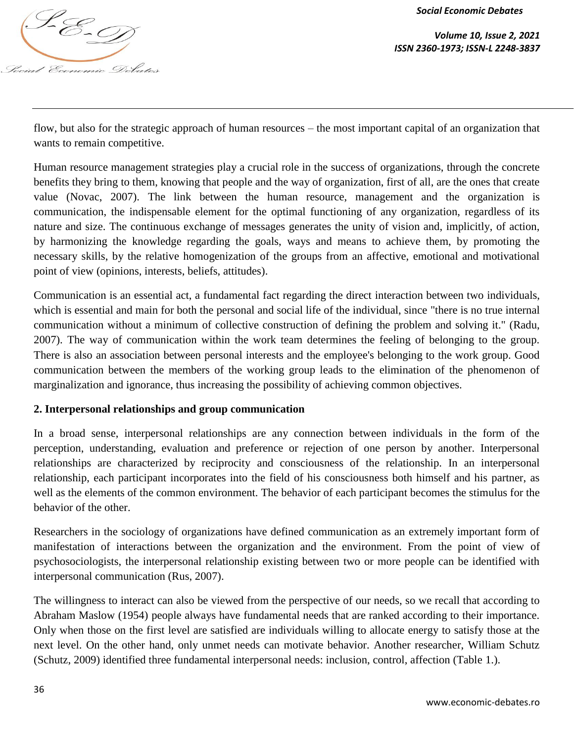

flow, but also for the strategic approach of human resources – the most important capital of an organization that wants to remain competitive.

Human resource management strategies play a crucial role in the success of organizations, through the concrete benefits they bring to them, knowing that people and the way of organization, first of all, are the ones that create value (Novac, 2007). The link between the human resource, management and the organization is communication, the indispensable element for the optimal functioning of any organization, regardless of its nature and size. The continuous exchange of messages generates the unity of vision and, implicitly, of action, by harmonizing the knowledge regarding the goals, ways and means to achieve them, by promoting the necessary skills, by the relative homogenization of the groups from an affective, emotional and motivational point of view (opinions, interests, beliefs, attitudes).

Communication is an essential act, a fundamental fact regarding the direct interaction between two individuals, which is essential and main for both the personal and social life of the individual, since "there is no true internal communication without a minimum of collective construction of defining the problem and solving it." (Radu, 2007). The way of communication within the work team determines the feeling of belonging to the group. There is also an association between personal interests and the employee's belonging to the work group. Good communication between the members of the working group leads to the elimination of the phenomenon of marginalization and ignorance, thus increasing the possibility of achieving common objectives.

# **2. Interpersonal relationships and group communication**

In a broad sense, interpersonal relationships are any connection between individuals in the form of the perception, understanding, evaluation and preference or rejection of one person by another. Interpersonal relationships are characterized by reciprocity and consciousness of the relationship. In an interpersonal relationship, each participant incorporates into the field of his consciousness both himself and his partner, as well as the elements of the common environment. The behavior of each participant becomes the stimulus for the behavior of the other.

Researchers in the sociology of organizations have defined communication as an extremely important form of manifestation of interactions between the organization and the environment. From the point of view of psychosociologists, the interpersonal relationship existing between two or more people can be identified with interpersonal communication (Rus, 2007).

The willingness to interact can also be viewed from the perspective of our needs, so we recall that according to Abraham Maslow (1954) people always have fundamental needs that are ranked according to their importance. Only when those on the first level are satisfied are individuals willing to allocate energy to satisfy those at the next level. On the other hand, only unmet needs can motivate behavior. Another researcher, William Schutz (Schutz, 2009) identified three fundamental interpersonal needs: inclusion, control, affection (Table 1.).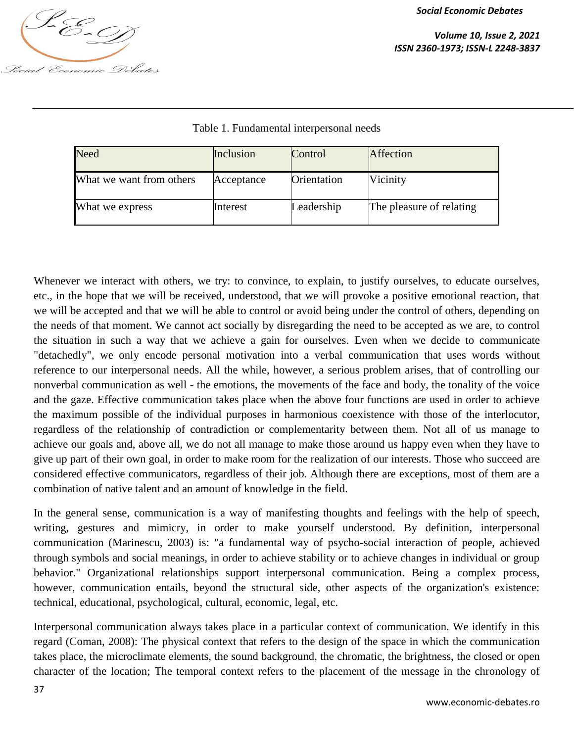

| Need                     | Inclusion  | Control     | Affection                |
|--------------------------|------------|-------------|--------------------------|
| What we want from others | Acceptance | Orientation | Vicinity                 |
| What we express          | Interest   | Leadership  | The pleasure of relating |

## Table 1. Fundamental interpersonal needs

Whenever we interact with others, we try: to convince, to explain, to justify ourselves, to educate ourselves, etc., in the hope that we will be received, understood, that we will provoke a positive emotional reaction, that we will be accepted and that we will be able to control or avoid being under the control of others, depending on the needs of that moment. We cannot act socially by disregarding the need to be accepted as we are, to control the situation in such a way that we achieve a gain for ourselves. Even when we decide to communicate "detachedly", we only encode personal motivation into a verbal communication that uses words without reference to our interpersonal needs. All the while, however, a serious problem arises, that of controlling our nonverbal communication as well - the emotions, the movements of the face and body, the tonality of the voice and the gaze. Effective communication takes place when the above four functions are used in order to achieve the maximum possible of the individual purposes in harmonious coexistence with those of the interlocutor, regardless of the relationship of contradiction or complementarity between them. Not all of us manage to achieve our goals and, above all, we do not all manage to make those around us happy even when they have to give up part of their own goal, in order to make room for the realization of our interests. Those who succeed are considered effective communicators, regardless of their job. Although there are exceptions, most of them are a combination of native talent and an amount of knowledge in the field.

In the general sense, communication is a way of manifesting thoughts and feelings with the help of speech, writing, gestures and mimicry, in order to make yourself understood. By definition, interpersonal communication (Marinescu, 2003) is: "a fundamental way of psycho-social interaction of people, achieved through symbols and social meanings, in order to achieve stability or to achieve changes in individual or group behavior." Organizational relationships support interpersonal communication. Being a complex process, however, communication entails, beyond the structural side, other aspects of the organization's existence: technical, educational, psychological, cultural, economic, legal, etc.

Interpersonal communication always takes place in a particular context of communication. We identify in this regard (Coman, 2008): The physical context that refers to the design of the space in which the communication takes place, the microclimate elements, the sound background, the chromatic, the brightness, the closed or open character of the location; The temporal context refers to the placement of the message in the chronology of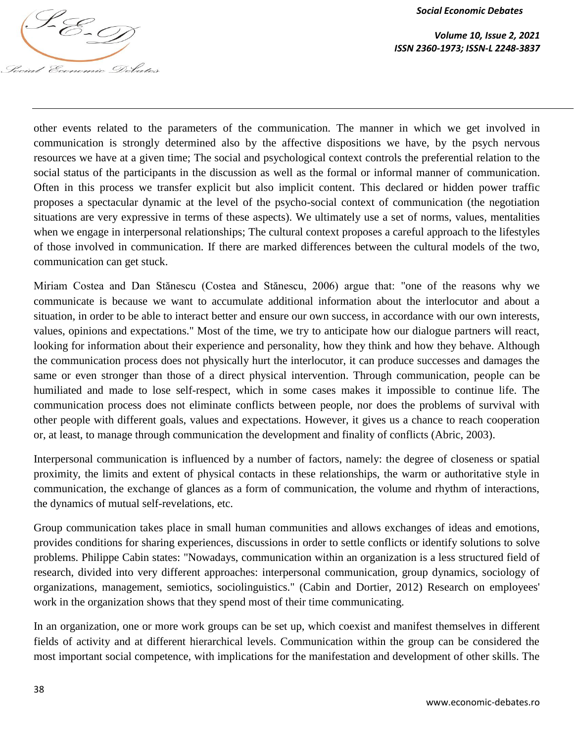

other events related to the parameters of the communication. The manner in which we get involved in communication is strongly determined also by the affective dispositions we have, by the psych nervous resources we have at a given time; The social and psychological context controls the preferential relation to the social status of the participants in the discussion as well as the formal or informal manner of communication. Often in this process we transfer explicit but also implicit content. This declared or hidden power traffic proposes a spectacular dynamic at the level of the psycho-social context of communication (the negotiation situations are very expressive in terms of these aspects). We ultimately use a set of norms, values, mentalities when we engage in interpersonal relationships; The cultural context proposes a careful approach to the lifestyles of those involved in communication. If there are marked differences between the cultural models of the two, communication can get stuck.

Miriam Costea and Dan Stănescu (Costea and Stănescu, 2006) argue that: "one of the reasons why we communicate is because we want to accumulate additional information about the interlocutor and about a situation, in order to be able to interact better and ensure our own success, in accordance with our own interests, values, opinions and expectations." Most of the time, we try to anticipate how our dialogue partners will react, looking for information about their experience and personality, how they think and how they behave. Although the communication process does not physically hurt the interlocutor, it can produce successes and damages the same or even stronger than those of a direct physical intervention. Through communication, people can be humiliated and made to lose self-respect, which in some cases makes it impossible to continue life. The communication process does not eliminate conflicts between people, nor does the problems of survival with other people with different goals, values and expectations. However, it gives us a chance to reach cooperation or, at least, to manage through communication the development and finality of conflicts (Abric, 2003).

Interpersonal communication is influenced by a number of factors, namely: the degree of closeness or spatial proximity, the limits and extent of physical contacts in these relationships, the warm or authoritative style in communication, the exchange of glances as a form of communication, the volume and rhythm of interactions, the dynamics of mutual self-revelations, etc.

Group communication takes place in small human communities and allows exchanges of ideas and emotions, provides conditions for sharing experiences, discussions in order to settle conflicts or identify solutions to solve problems. Philippe Cabin states: "Nowadays, communication within an organization is a less structured field of research, divided into very different approaches: interpersonal communication, group dynamics, sociology of organizations, management, semiotics, sociolinguistics." (Cabin and Dortier, 2012) Research on employees' work in the organization shows that they spend most of their time communicating.

In an organization, one or more work groups can be set up, which coexist and manifest themselves in different fields of activity and at different hierarchical levels. Communication within the group can be considered the most important social competence, with implications for the manifestation and development of other skills. The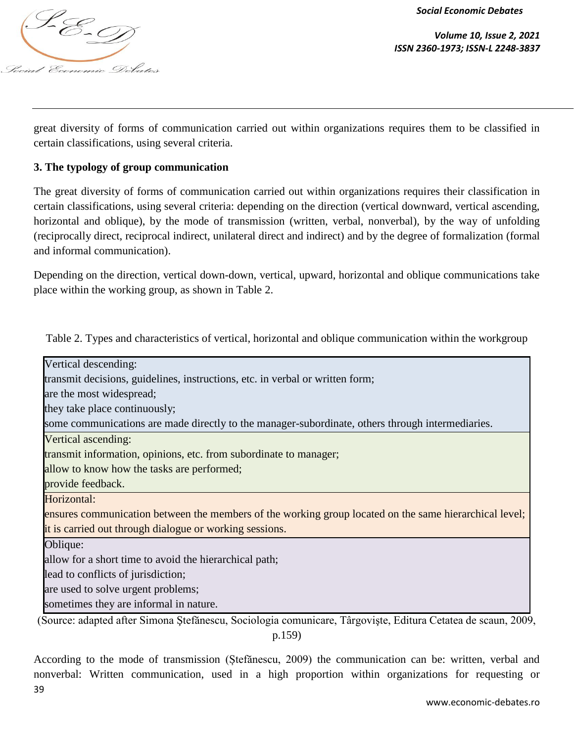

*Volume 10, Issue 2, 2021 ISSN 2360-1973; ISSN-L 2248-3837*

great diversity of forms of communication carried out within organizations requires them to be classified in certain classifications, using several criteria.

# **3. The typology of group communication**

The great diversity of forms of communication carried out within organizations requires their classification in certain classifications, using several criteria: depending on the direction (vertical downward, vertical ascending, horizontal and oblique), by the mode of transmission (written, verbal, nonverbal), by the way of unfolding (reciprocally direct, reciprocal indirect, unilateral direct and indirect) and by the degree of formalization (formal and informal communication).

Depending on the direction, vertical down-down, vertical, upward, horizontal and oblique communications take place within the working group, as shown in Table 2.

Table 2. Types and characteristics of vertical, horizontal and oblique communication within the workgroup

| Vertical descending:                                                                                         |
|--------------------------------------------------------------------------------------------------------------|
| transmit decisions, guidelines, instructions, etc. in verbal or written form;                                |
| are the most widespread;                                                                                     |
| they take place continuously;                                                                                |
| some communications are made directly to the manager-subordinate, others through intermediaries.             |
| Vertical ascending:                                                                                          |
| transmit information, opinions, etc. from subordinate to manager;                                            |
| allow to know how the tasks are performed;                                                                   |
| provide feedback.                                                                                            |
| Horizontal:                                                                                                  |
| ensures communication between the members of the working group located on the same hierarchical level;       |
| it is carried out through dialogue or working sessions.                                                      |
| Oblique:                                                                                                     |
| allow for a short time to avoid the hierarchical path;                                                       |
| lead to conflicts of jurisdiction;                                                                           |
| are used to solve urgent problems;                                                                           |
| sometimes they are informal in nature.                                                                       |
| (Source: adapted after Simona Ștefănescu, Sociologia comunicare, Târgoviște, Editura Cetatea de scaun, 2009, |
| p.159)                                                                                                       |

According to the mode of transmission (Ștefănescu, 2009) the communication can be: written, verbal and

nonverbal: Written communication, used in a high proportion within organizations for requesting or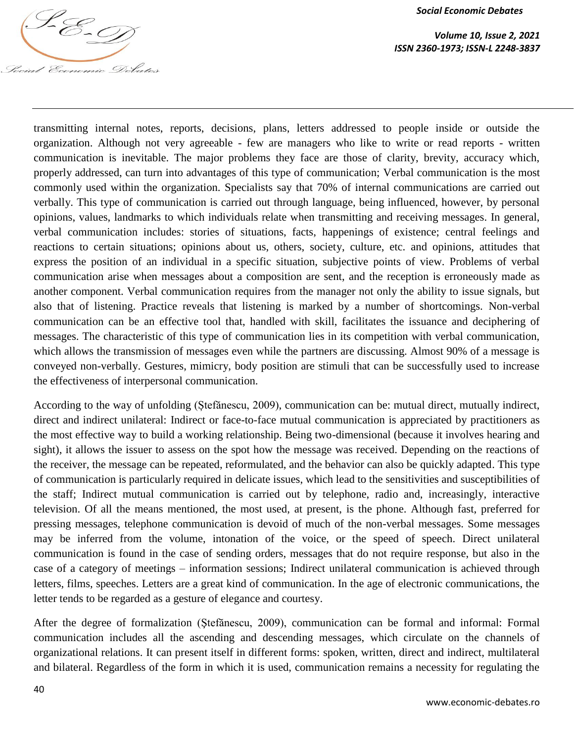

transmitting internal notes, reports, decisions, plans, letters addressed to people inside or outside the organization. Although not very agreeable - few are managers who like to write or read reports - written communication is inevitable. The major problems they face are those of clarity, brevity, accuracy which, properly addressed, can turn into advantages of this type of communication; Verbal communication is the most commonly used within the organization. Specialists say that 70% of internal communications are carried out verbally. This type of communication is carried out through language, being influenced, however, by personal opinions, values, landmarks to which individuals relate when transmitting and receiving messages. In general, verbal communication includes: stories of situations, facts, happenings of existence; central feelings and reactions to certain situations; opinions about us, others, society, culture, etc. and opinions, attitudes that express the position of an individual in a specific situation, subjective points of view. Problems of verbal communication arise when messages about a composition are sent, and the reception is erroneously made as another component. Verbal communication requires from the manager not only the ability to issue signals, but also that of listening. Practice reveals that listening is marked by a number of shortcomings. Non-verbal communication can be an effective tool that, handled with skill, facilitates the issuance and deciphering of messages. The characteristic of this type of communication lies in its competition with verbal communication, which allows the transmission of messages even while the partners are discussing. Almost 90% of a message is conveyed non-verbally. Gestures, mimicry, body position are stimuli that can be successfully used to increase the effectiveness of interpersonal communication.

According to the way of unfolding (Ștefănescu, 2009), communication can be: mutual direct, mutually indirect, direct and indirect unilateral: Indirect or face-to-face mutual communication is appreciated by practitioners as the most effective way to build a working relationship. Being two-dimensional (because it involves hearing and sight), it allows the issuer to assess on the spot how the message was received. Depending on the reactions of the receiver, the message can be repeated, reformulated, and the behavior can also be quickly adapted. This type of communication is particularly required in delicate issues, which lead to the sensitivities and susceptibilities of the staff; Indirect mutual communication is carried out by telephone, radio and, increasingly, interactive television. Of all the means mentioned, the most used, at present, is the phone. Although fast, preferred for pressing messages, telephone communication is devoid of much of the non-verbal messages. Some messages may be inferred from the volume, intonation of the voice, or the speed of speech. Direct unilateral communication is found in the case of sending orders, messages that do not require response, but also in the case of a category of meetings – information sessions; Indirect unilateral communication is achieved through letters, films, speeches. Letters are a great kind of communication. In the age of electronic communications, the letter tends to be regarded as a gesture of elegance and courtesy.

After the degree of formalization (Ştefănescu, 2009), communication can be formal and informal: Formal communication includes all the ascending and descending messages, which circulate on the channels of organizational relations. It can present itself in different forms: spoken, written, direct and indirect, multilateral and bilateral. Regardless of the form in which it is used, communication remains a necessity for regulating the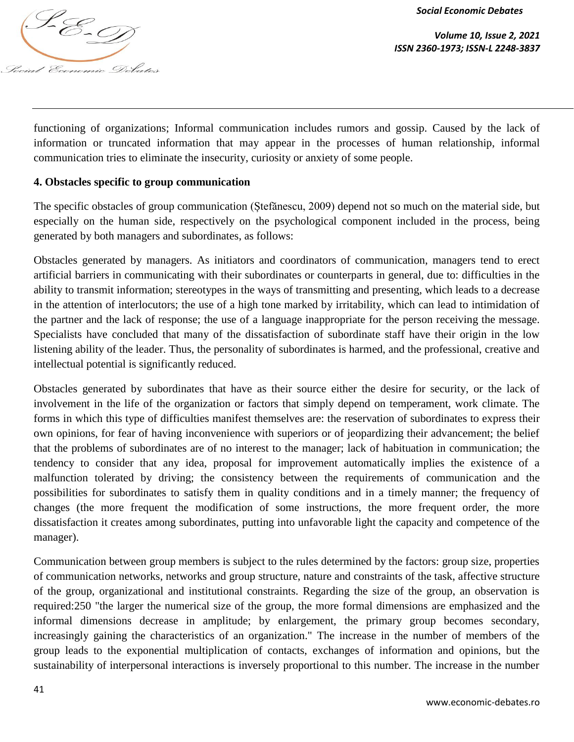

*Volume 10, Issue 2, 2021 ISSN 2360-1973; ISSN-L 2248-3837*

functioning of organizations; Informal communication includes rumors and gossip. Caused by the lack of information or truncated information that may appear in the processes of human relationship, informal communication tries to eliminate the insecurity, curiosity or anxiety of some people.

## **4. Obstacles specific to group communication**

The specific obstacles of group communication (Ștefănescu, 2009) depend not so much on the material side, but especially on the human side, respectively on the psychological component included in the process, being generated by both managers and subordinates, as follows:

Obstacles generated by managers. As initiators and coordinators of communication, managers tend to erect artificial barriers in communicating with their subordinates or counterparts in general, due to: difficulties in the ability to transmit information; stereotypes in the ways of transmitting and presenting, which leads to a decrease in the attention of interlocutors; the use of a high tone marked by irritability, which can lead to intimidation of the partner and the lack of response; the use of a language inappropriate for the person receiving the message. Specialists have concluded that many of the dissatisfaction of subordinate staff have their origin in the low listening ability of the leader. Thus, the personality of subordinates is harmed, and the professional, creative and intellectual potential is significantly reduced.

Obstacles generated by subordinates that have as their source either the desire for security, or the lack of involvement in the life of the organization or factors that simply depend on temperament, work climate. The forms in which this type of difficulties manifest themselves are: the reservation of subordinates to express their own opinions, for fear of having inconvenience with superiors or of jeopardizing their advancement; the belief that the problems of subordinates are of no interest to the manager; lack of habituation in communication; the tendency to consider that any idea, proposal for improvement automatically implies the existence of a malfunction tolerated by driving; the consistency between the requirements of communication and the possibilities for subordinates to satisfy them in quality conditions and in a timely manner; the frequency of changes (the more frequent the modification of some instructions, the more frequent order, the more dissatisfaction it creates among subordinates, putting into unfavorable light the capacity and competence of the manager).

Communication between group members is subject to the rules determined by the factors: group size, properties of communication networks, networks and group structure, nature and constraints of the task, affective structure of the group, organizational and institutional constraints. Regarding the size of the group, an observation is required:250 "the larger the numerical size of the group, the more formal dimensions are emphasized and the informal dimensions decrease in amplitude; by enlargement, the primary group becomes secondary, increasingly gaining the characteristics of an organization." The increase in the number of members of the group leads to the exponential multiplication of contacts, exchanges of information and opinions, but the sustainability of interpersonal interactions is inversely proportional to this number. The increase in the number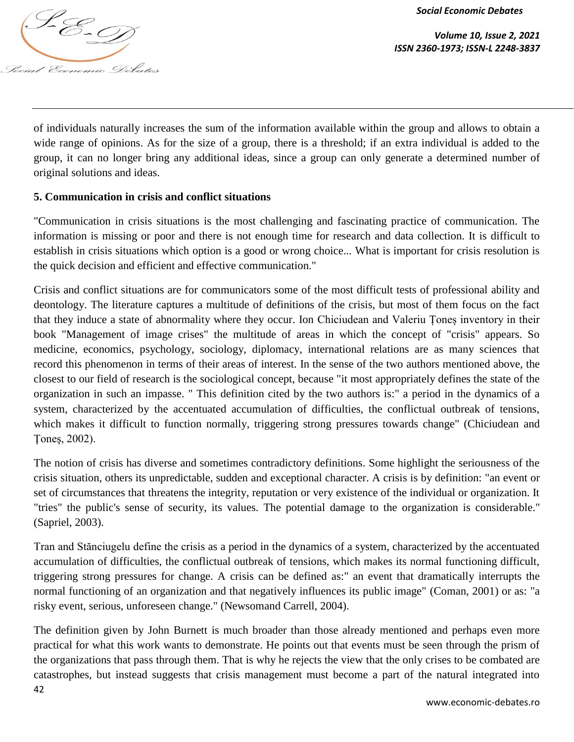

*Volume 10, Issue 2, 2021 ISSN 2360-1973; ISSN-L 2248-3837*

of individuals naturally increases the sum of the information available within the group and allows to obtain a wide range of opinions. As for the size of a group, there is a threshold; if an extra individual is added to the group, it can no longer bring any additional ideas, since a group can only generate a determined number of original solutions and ideas.

# **5. Communication in crisis and conflict situations**

"Communication in crisis situations is the most challenging and fascinating practice of communication. The information is missing or poor and there is not enough time for research and data collection. It is difficult to establish in crisis situations which option is a good or wrong choice... What is important for crisis resolution is the quick decision and efficient and effective communication."

Crisis and conflict situations are for communicators some of the most difficult tests of professional ability and deontology. The literature captures a multitude of definitions of the crisis, but most of them focus on the fact that they induce a state of abnormality where they occur. Ion Chiciudean and Valeriu Țoneș inventory in their book "Management of image crises" the multitude of areas in which the concept of "crisis" appears. So medicine, economics, psychology, sociology, diplomacy, international relations are as many sciences that record this phenomenon in terms of their areas of interest. In the sense of the two authors mentioned above, the closest to our field of research is the sociological concept, because "it most appropriately defines the state of the organization in such an impasse. " This definition cited by the two authors is:" a period in the dynamics of a system, characterized by the accentuated accumulation of difficulties, the conflictual outbreak of tensions, which makes it difficult to function normally, triggering strong pressures towards change" (Chiciudean and Ţoneş, 2002).

The notion of crisis has diverse and sometimes contradictory definitions. Some highlight the seriousness of the crisis situation, others its unpredictable, sudden and exceptional character. A crisis is by definition: "an event or set of circumstances that threatens the integrity, reputation or very existence of the individual or organization. It "tries" the public's sense of security, its values. The potential damage to the organization is considerable." (Sapriel, 2003).

Tran and Stănciugelu define the crisis as a period in the dynamics of a system, characterized by the accentuated accumulation of difficulties, the conflictual outbreak of tensions, which makes its normal functioning difficult, triggering strong pressures for change. A crisis can be defined as:" an event that dramatically interrupts the normal functioning of an organization and that negatively influences its public image" (Coman, 2001) or as: "a risky event, serious, unforeseen change." (Newsomand Carrell, 2004).

42 The definition given by John Burnett is much broader than those already mentioned and perhaps even more practical for what this work wants to demonstrate. He points out that events must be seen through the prism of the organizations that pass through them. That is why he rejects the view that the only crises to be combated are catastrophes, but instead suggests that crisis management must become a part of the natural integrated into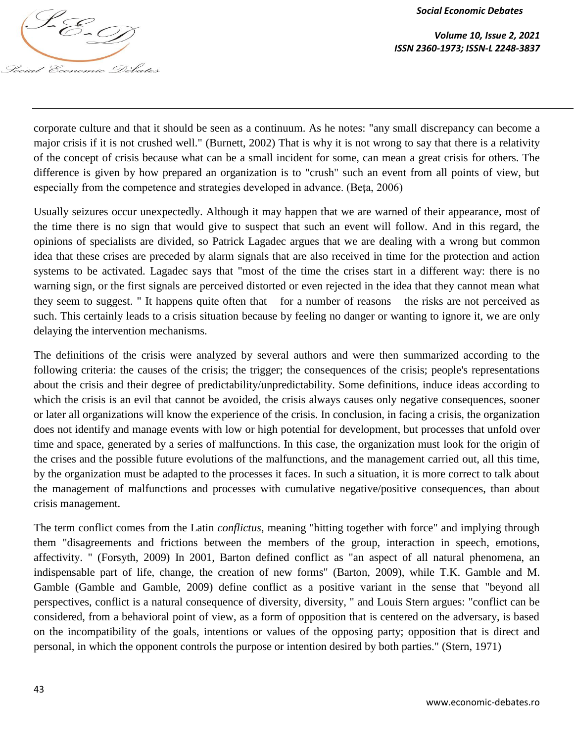

*Social Economic Debates* Social Economic Debates

*Volume 10, Issue 2, 2021 ISSN 2360-1973; ISSN-L 2248-3837*

corporate culture and that it should be seen as a continuum. As he notes: "any small discrepancy can become a major crisis if it is not crushed well." (Burnett, 2002) That is why it is not wrong to say that there is a relativity of the concept of crisis because what can be a small incident for some, can mean a great crisis for others. The difference is given by how prepared an organization is to "crush" such an event from all points of view, but especially from the competence and strategies developed in advance. (Beţa, 2006)

Usually seizures occur unexpectedly. Although it may happen that we are warned of their appearance, most of the time there is no sign that would give to suspect that such an event will follow. And in this regard, the opinions of specialists are divided, so Patrick Lagadec argues that we are dealing with a wrong but common idea that these crises are preceded by alarm signals that are also received in time for the protection and action systems to be activated. Lagadec says that "most of the time the crises start in a different way: there is no warning sign, or the first signals are perceived distorted or even rejected in the idea that they cannot mean what they seem to suggest. " It happens quite often that – for a number of reasons – the risks are not perceived as such. This certainly leads to a crisis situation because by feeling no danger or wanting to ignore it, we are only delaying the intervention mechanisms.

The definitions of the crisis were analyzed by several authors and were then summarized according to the following criteria: the causes of the crisis; the trigger; the consequences of the crisis; people's representations about the crisis and their degree of predictability/unpredictability. Some definitions, induce ideas according to which the crisis is an evil that cannot be avoided, the crisis always causes only negative consequences, sooner or later all organizations will know the experience of the crisis. In conclusion, in facing a crisis, the organization does not identify and manage events with low or high potential for development, but processes that unfold over time and space, generated by a series of malfunctions. In this case, the organization must look for the origin of the crises and the possible future evolutions of the malfunctions, and the management carried out, all this time, by the organization must be adapted to the processes it faces. In such a situation, it is more correct to talk about the management of malfunctions and processes with cumulative negative/positive consequences, than about crisis management.

The term conflict comes from the Latin *conflictus*, meaning "hitting together with force" and implying through them "disagreements and frictions between the members of the group, interaction in speech, emotions, affectivity. " (Forsyth, 2009) In 2001, Barton defined conflict as "an aspect of all natural phenomena, an indispensable part of life, change, the creation of new forms" (Barton, 2009), while T.K. Gamble and M. Gamble (Gamble and Gamble, 2009) define conflict as a positive variant in the sense that "beyond all perspectives, conflict is a natural consequence of diversity, diversity, " and Louis Stern argues: "conflict can be considered, from a behavioral point of view, as a form of opposition that is centered on the adversary, is based on the incompatibility of the goals, intentions or values of the opposing party; opposition that is direct and personal, in which the opponent controls the purpose or intention desired by both parties." (Stern, 1971)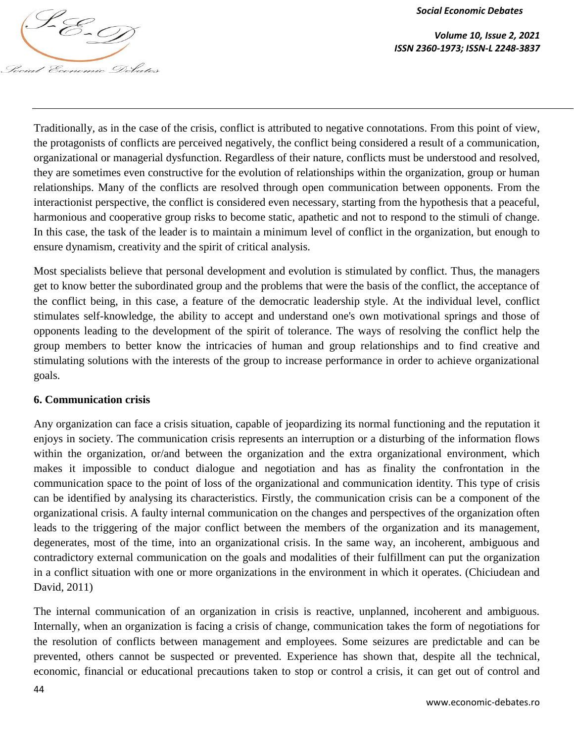

*Volume 10, Issue 2, 2021 ISSN 2360-1973; ISSN-L 2248-3837*

Traditionally, as in the case of the crisis, conflict is attributed to negative connotations. From this point of view, the protagonists of conflicts are perceived negatively, the conflict being considered a result of a communication, organizational or managerial dysfunction. Regardless of their nature, conflicts must be understood and resolved, they are sometimes even constructive for the evolution of relationships within the organization, group or human relationships. Many of the conflicts are resolved through open communication between opponents. From the interactionist perspective, the conflict is considered even necessary, starting from the hypothesis that a peaceful, harmonious and cooperative group risks to become static, apathetic and not to respond to the stimuli of change. In this case, the task of the leader is to maintain a minimum level of conflict in the organization, but enough to ensure dynamism, creativity and the spirit of critical analysis.

Most specialists believe that personal development and evolution is stimulated by conflict. Thus, the managers get to know better the subordinated group and the problems that were the basis of the conflict, the acceptance of the conflict being, in this case, a feature of the democratic leadership style. At the individual level, conflict stimulates self-knowledge, the ability to accept and understand one's own motivational springs and those of opponents leading to the development of the spirit of tolerance. The ways of resolving the conflict help the group members to better know the intricacies of human and group relationships and to find creative and stimulating solutions with the interests of the group to increase performance in order to achieve organizational goals.

#### **6. Communication crisis**

Any organization can face a crisis situation, capable of jeopardizing its normal functioning and the reputation it enjoys in society. The communication crisis represents an interruption or a disturbing of the information flows within the organization, or/and between the organization and the extra organizational environment, which makes it impossible to conduct dialogue and negotiation and has as finality the confrontation in the communication space to the point of loss of the organizational and communication identity. This type of crisis can be identified by analysing its characteristics. Firstly, the communication crisis can be a component of the organizational crisis. A faulty internal communication on the changes and perspectives of the organization often leads to the triggering of the major conflict between the members of the organization and its management, degenerates, most of the time, into an organizational crisis. In the same way, an incoherent, ambiguous and contradictory external communication on the goals and modalities of their fulfillment can put the organization in a conflict situation with one or more organizations in the environment in which it operates. (Chiciudean and David, 2011)

The internal communication of an organization in crisis is reactive, unplanned, incoherent and ambiguous. Internally, when an organization is facing a crisis of change, communication takes the form of negotiations for the resolution of conflicts between management and employees. Some seizures are predictable and can be prevented, others cannot be suspected or prevented. Experience has shown that, despite all the technical, economic, financial or educational precautions taken to stop or control a crisis, it can get out of control and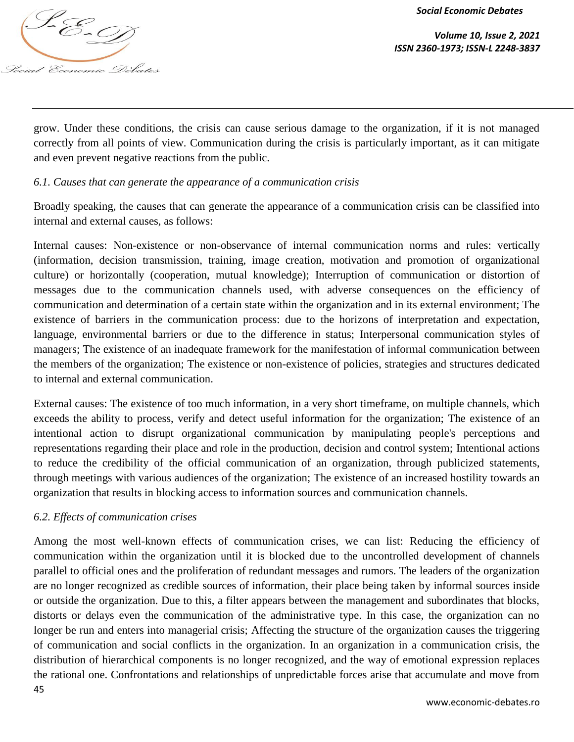

*Volume 10, Issue 2, 2021 ISSN 2360-1973; ISSN-L 2248-3837*

grow. Under these conditions, the crisis can cause serious damage to the organization, if it is not managed correctly from all points of view. Communication during the crisis is particularly important, as it can mitigate and even prevent negative reactions from the public.

# *6.1. Causes that can generate the appearance of a communication crisis*

Broadly speaking, the causes that can generate the appearance of a communication crisis can be classified into internal and external causes, as follows:

Internal causes: Non-existence or non-observance of internal communication norms and rules: vertically (information, decision transmission, training, image creation, motivation and promotion of organizational culture) or horizontally (cooperation, mutual knowledge); Interruption of communication or distortion of messages due to the communication channels used, with adverse consequences on the efficiency of communication and determination of a certain state within the organization and in its external environment; The existence of barriers in the communication process: due to the horizons of interpretation and expectation, language, environmental barriers or due to the difference in status; Interpersonal communication styles of managers; The existence of an inadequate framework for the manifestation of informal communication between the members of the organization; The existence or non-existence of policies, strategies and structures dedicated to internal and external communication.

External causes: The existence of too much information, in a very short timeframe, on multiple channels, which exceeds the ability to process, verify and detect useful information for the organization; The existence of an intentional action to disrupt organizational communication by manipulating people's perceptions and representations regarding their place and role in the production, decision and control system; Intentional actions to reduce the credibility of the official communication of an organization, through publicized statements, through meetings with various audiences of the organization; The existence of an increased hostility towards an organization that results in blocking access to information sources and communication channels.

#### *6.2. Effects of communication crises*

45 Among the most well-known effects of communication crises, we can list: Reducing the efficiency of communication within the organization until it is blocked due to the uncontrolled development of channels parallel to official ones and the proliferation of redundant messages and rumors. The leaders of the organization are no longer recognized as credible sources of information, their place being taken by informal sources inside or outside the organization. Due to this, a filter appears between the management and subordinates that blocks, distorts or delays even the communication of the administrative type. In this case, the organization can no longer be run and enters into managerial crisis; Affecting the structure of the organization causes the triggering of communication and social conflicts in the organization. In an organization in a communication crisis, the distribution of hierarchical components is no longer recognized, and the way of emotional expression replaces the rational one. Confrontations and relationships of unpredictable forces arise that accumulate and move from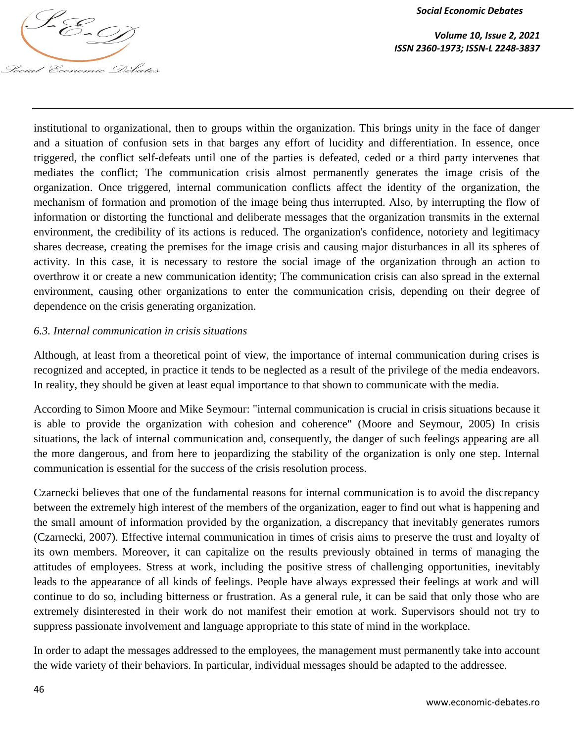

institutional to organizational, then to groups within the organization. This brings unity in the face of danger and a situation of confusion sets in that barges any effort of lucidity and differentiation. In essence, once triggered, the conflict self-defeats until one of the parties is defeated, ceded or a third party intervenes that mediates the conflict; The communication crisis almost permanently generates the image crisis of the organization. Once triggered, internal communication conflicts affect the identity of the organization, the mechanism of formation and promotion of the image being thus interrupted. Also, by interrupting the flow of information or distorting the functional and deliberate messages that the organization transmits in the external environment, the credibility of its actions is reduced. The organization's confidence, notoriety and legitimacy shares decrease, creating the premises for the image crisis and causing major disturbances in all its spheres of activity. In this case, it is necessary to restore the social image of the organization through an action to overthrow it or create a new communication identity; The communication crisis can also spread in the external environment, causing other organizations to enter the communication crisis, depending on their degree of dependence on the crisis generating organization.

#### *6.3. Internal communication in crisis situations*

Although, at least from a theoretical point of view, the importance of internal communication during crises is recognized and accepted, in practice it tends to be neglected as a result of the privilege of the media endeavors. In reality, they should be given at least equal importance to that shown to communicate with the media.

According to Simon Moore and Mike Seymour: "internal communication is crucial in crisis situations because it is able to provide the organization with cohesion and coherence" (Moore and Seymour, 2005) In crisis situations, the lack of internal communication and, consequently, the danger of such feelings appearing are all the more dangerous, and from here to jeopardizing the stability of the organization is only one step. Internal communication is essential for the success of the crisis resolution process.

Czarnecki believes that one of the fundamental reasons for internal communication is to avoid the discrepancy between the extremely high interest of the members of the organization, eager to find out what is happening and the small amount of information provided by the organization, a discrepancy that inevitably generates rumors (Czarnecki, 2007). Effective internal communication in times of crisis aims to preserve the trust and loyalty of its own members. Moreover, it can capitalize on the results previously obtained in terms of managing the attitudes of employees. Stress at work, including the positive stress of challenging opportunities, inevitably leads to the appearance of all kinds of feelings. People have always expressed their feelings at work and will continue to do so, including bitterness or frustration. As a general rule, it can be said that only those who are extremely disinterested in their work do not manifest their emotion at work. Supervisors should not try to suppress passionate involvement and language appropriate to this state of mind in the workplace.

In order to adapt the messages addressed to the employees, the management must permanently take into account the wide variety of their behaviors. In particular, individual messages should be adapted to the addressee.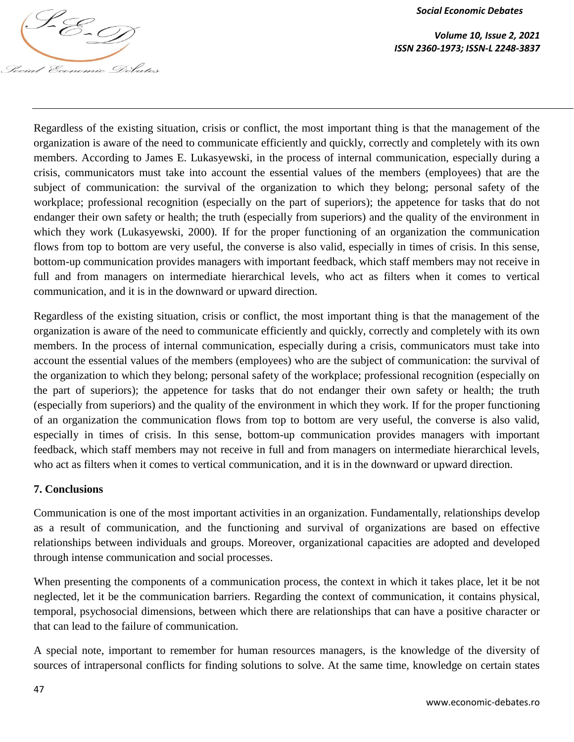

*Volume 10, Issue 2, 2021 ISSN 2360-1973; ISSN-L 2248-3837*

Regardless of the existing situation, crisis or conflict, the most important thing is that the management of the organization is aware of the need to communicate efficiently and quickly, correctly and completely with its own members. According to James E. Lukasyewski, in the process of internal communication, especially during a crisis, communicators must take into account the essential values of the members (employees) that are the subject of communication: the survival of the organization to which they belong; personal safety of the workplace; professional recognition (especially on the part of superiors); the appetence for tasks that do not endanger their own safety or health; the truth (especially from superiors) and the quality of the environment in which they work (Lukasyewski, 2000). If for the proper functioning of an organization the communication flows from top to bottom are very useful, the converse is also valid, especially in times of crisis. In this sense, bottom-up communication provides managers with important feedback, which staff members may not receive in full and from managers on intermediate hierarchical levels, who act as filters when it comes to vertical communication, and it is in the downward or upward direction.

Regardless of the existing situation, crisis or conflict, the most important thing is that the management of the organization is aware of the need to communicate efficiently and quickly, correctly and completely with its own members. In the process of internal communication, especially during a crisis, communicators must take into account the essential values of the members (employees) who are the subject of communication: the survival of the organization to which they belong; personal safety of the workplace; professional recognition (especially on the part of superiors); the appetence for tasks that do not endanger their own safety or health; the truth (especially from superiors) and the quality of the environment in which they work. If for the proper functioning of an organization the communication flows from top to bottom are very useful, the converse is also valid, especially in times of crisis. In this sense, bottom-up communication provides managers with important feedback, which staff members may not receive in full and from managers on intermediate hierarchical levels, who act as filters when it comes to vertical communication, and it is in the downward or upward direction.

#### **7. Conclusions**

Communication is one of the most important activities in an organization. Fundamentally, relationships develop as a result of communication, and the functioning and survival of organizations are based on effective relationships between individuals and groups. Moreover, organizational capacities are adopted and developed through intense communication and social processes.

When presenting the components of a communication process, the context in which it takes place, let it be not neglected, let it be the communication barriers. Regarding the context of communication, it contains physical, temporal, psychosocial dimensions, between which there are relationships that can have a positive character or that can lead to the failure of communication.

A special note, important to remember for human resources managers, is the knowledge of the diversity of sources of intrapersonal conflicts for finding solutions to solve. At the same time, knowledge on certain states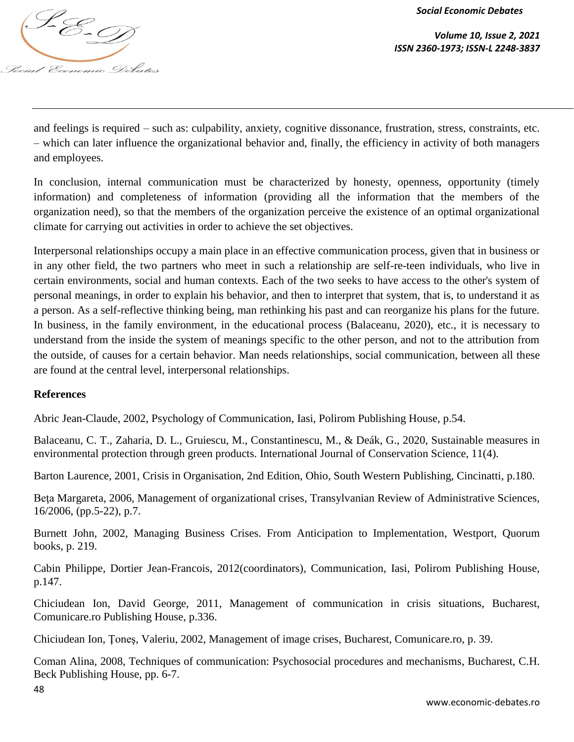

*Volume 10, Issue 2, 2021 ISSN 2360-1973; ISSN-L 2248-3837*

and feelings is required – such as: culpability, anxiety, cognitive dissonance, frustration, stress, constraints, etc. – which can later influence the organizational behavior and, finally, the efficiency in activity of both managers and employees.

In conclusion, internal communication must be characterized by honesty, openness, opportunity (timely information) and completeness of information (providing all the information that the members of the organization need), so that the members of the organization perceive the existence of an optimal organizational climate for carrying out activities in order to achieve the set objectives.

Interpersonal relationships occupy a main place in an effective communication process, given that in business or in any other field, the two partners who meet in such a relationship are self-re-teen individuals, who live in certain environments, social and human contexts. Each of the two seeks to have access to the other's system of personal meanings, in order to explain his behavior, and then to interpret that system, that is, to understand it as a person. As a self-reflective thinking being, man rethinking his past and can reorganize his plans for the future. In business, in the family environment, in the educational process (Balaceanu, 2020), etc., it is necessary to understand from the inside the system of meanings specific to the other person, and not to the attribution from the outside, of causes for a certain behavior. Man needs relationships, social communication, between all these are found at the central level, interpersonal relationships.

#### **References**

Abric Jean-Claude, 2002, Psychology of Communication, Iasi, Polirom Publishing House, p.54.

Balaceanu, C. T., Zaharia, D. L., Gruiescu, M., Constantinescu, M., & Deák, G., 2020, Sustainable measures in environmental protection through green products. International Journal of Conservation Science, 11(4).

Barton Laurence, 2001, Crisis in Organisation, 2nd Edition, Ohio, South Western Publishing, Cincinatti, p.180.

Beţa Margareta, 2006, Management of organizational crises, Transylvanian Review of Administrative Sciences, 16/2006, (pp.5-22), p.7.

Burnett John, 2002, Managing Business Crises. From Anticipation to Implementation, Westport, Quorum books, p. 219.

Cabin Philippe, Dortier Jean-Francois, 2012(coordinators), Communication, Iasi, Polirom Publishing House, p.147.

Chiciudean Ion, David George, 2011, Management of communication in crisis situations, Bucharest, Comunicare.ro Publishing House, p.336.

Chiciudean Ion, Ţoneş, Valeriu, 2002, Management of image crises, Bucharest, Comunicare.ro, p. 39.

Coman Alina, 2008, Techniques of communication: Psychosocial procedures and mechanisms, Bucharest, C.H. Beck Publishing House, pp. 6-7.